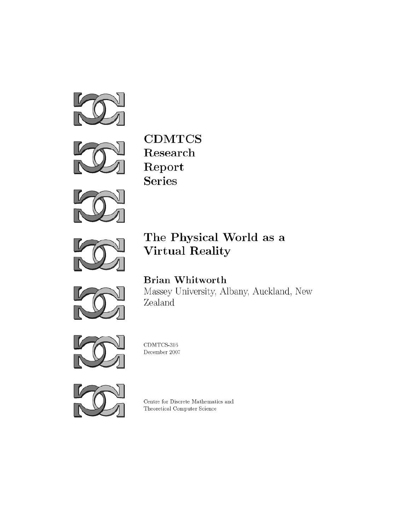



 $\textbf{CDMTCS}{}$ Research Report **Series** 



# The Physical World as a **Virtual Reality**



**Brian Whitworth** Massey University, Albany, Auckland, New Zealand



CDMTCS-316 December 2007



Centre for Discrete Mathematics and Theoretical Computer Science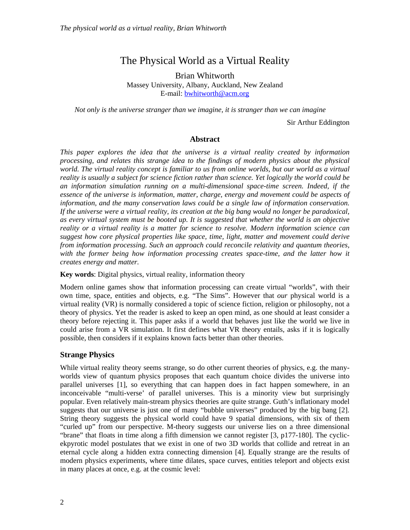# The Physical World as a Virtual Reality

Brian Whitworth Massey University, Albany, Auckland, New Zealand E-mail: bwhitworth@acm.org

*Not only is the universe stranger than we imagine, it is stranger than we can imagine* 

Sir Arthur Eddington

#### **Abstract**

*This paper explores the idea that the universe is a virtual reality created by information processing, and relates this strange idea to the findings of modern physics about the physical*  world. The virtual reality concept is familiar to us from online worlds, but our world as a virtual *reality is usually a subject for science fiction rather than science. Yet logically the world could be an information simulation running on a multi-dimensional space-time screen. Indeed, if the essence of the universe is information, matter, charge, energy and movement could be aspects of information, and the many conservation laws could be a single law of information conservation. If the universe were a virtual reality, its creation at the big bang would no longer be paradoxical, as every virtual system must be booted up. It is suggested that whether the world is an objective reality or a virtual reality is a matter for science to resolve. Modern information science can suggest how core physical properties like space, time, light, matter and movement could derive from information processing. Such an approach could reconcile relativity and quantum theories,*  with the former being how information processing creates space-time, and the latter how it *creates energy and matter.* 

**Key words**: Digital physics, virtual reality, information theory

Modern online games show that information processing can create virtual "worlds", with their own time, space, entities and objects, e.g. "The Sims". However that *our* physical world is a virtual reality (VR) is normally considered a topic of science fiction, religion or philosophy, not a theory of physics. Yet the reader is asked to keep an open mind, as one should at least consider a theory before rejecting it. This paper asks if a world that behaves just like the world we live in could arise from a VR simulation. It first defines what VR theory entails, asks if it is logically possible, then considers if it explains known facts better than other theories.

# **Strange Physics**

While virtual reality theory seems strange, so do other current theories of physics, e.g. the manyworlds view of quantum physics proposes that each quantum choice divides the universe into parallel universes [1], so everything that can happen does in fact happen somewhere, in an inconceivable "multi-verse' of parallel universes. This is a minority view but surprisingly popular. Even relatively main-stream physics theories are quite strange. Guth's inflationary model suggests that our universe is just one of many "bubble universes" produced by the big bang [2]. String theory suggests the physical world could have 9 spatial dimensions, with six of them "curled up" from our perspective. M-theory suggests our universe lies on a three dimensional "brane" that floats in time along a fifth dimension we cannot register [3, p177-180]. The cyclicekpyrotic model postulates that we exist in one of two 3D worlds that collide and retreat in an eternal cycle along a hidden extra connecting dimension [4]. Equally strange are the results of modern physics experiments, where time dilates, space curves, entities teleport and objects exist in many places at once, e.g. at the cosmic level: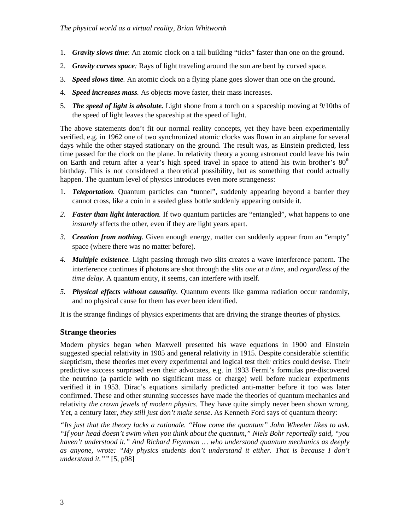- 1. *Gravity slows time*: An atomic clock on a tall building "ticks" faster than one on the ground.
- 2. *Gravity curves space:* Rays of light traveling around the sun are bent by curved space.
- 3. *Speed slows time.* An atomic clock on a flying plane goes slower than one on the ground.
- 4. *Speed increases mass.* As objects move faster, their mass increases.
- 5. *The speed of light is absolute.* Light shone from a torch on a spaceship moving at 9/10ths of the speed of light leaves the spaceship at the speed of light.

The above statements don't fit our normal reality concepts, yet they have been experimentally verified, e.g. in 1962 one of two synchronized atomic clocks was flown in an airplane for several days while the other stayed stationary on the ground. The result was, as Einstein predicted, less time passed for the clock on the plane. In relativity theory a young astronaut could leave his twin on Earth and return after a year's high speed travel in space to attend his twin brother's  $80<sup>th</sup>$ birthday. This is not considered a theoretical possibility, but as something that could actually happen. The quantum level of physics introduces even more strangeness:

- 1. *Teleportation.* Quantum particles can "tunnel", suddenly appearing beyond a barrier they cannot cross, like a coin in a sealed glass bottle suddenly appearing outside it.
- *2. Faster than light interaction.* If two quantum particles are "entangled", what happens to one *instantly* affects the other, even if they are light years apart.
- *3. Creation from nothing.* Given enough energy, matter can suddenly appear from an "empty" space (where there was no matter before).
- *4. Multiple existence.* Light passing through two slits creates a wave interference pattern. The interference continues if photons are shot through the slits *one at a time*, and *regardless of the time delay*. A quantum entity, it seems, can interfere with itself.
- *5. Physical effects without causality.* Quantum events like gamma radiation occur randomly, and no physical cause for them has ever been identified.

It is the strange findings of physics experiments that are driving the strange theories of physics.

# **Strange theories**

Modern physics began when Maxwell presented his wave equations in 1900 and Einstein suggested special relativity in 1905 and general relativity in 1915. Despite considerable scientific skepticism, these theories met every experimental and logical test their critics could devise. Their predictive success surprised even their advocates, e.g. in 1933 Fermi's formulas pre-discovered the neutrino (a particle with no significant mass or charge) well before nuclear experiments verified it in 1953. Dirac's equations similarly predicted anti-matter before it too was later confirmed. These and other stunning successes have made the theories of quantum mechanics and relativity *the crown jewels of modern physics.* They have quite simply never been shown wrong. Yet, a century later, *they still just don't make sense*. As Kenneth Ford says of quantum theory:

*"Its just that the theory lacks a rationale. "How come the quantum" John Wheeler likes to ask. "If your head doesn't swim when you think about the quantum," Niels Bohr reportedly said, "you haven't understood it." And Richard Feynman … who understood quantum mechanics as deeply as anyone, wrote: "My physics students don't understand it either. That is because I don't understand it.""* [5, p98]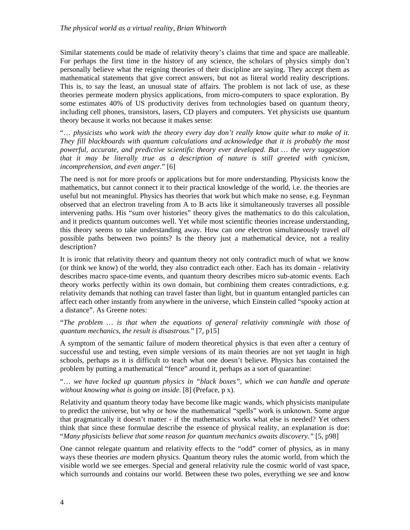Similar statements could be made of relativity theory's claims that time and space are malleable. For perhaps the first time in the history of any science, the scholars of physics simply don't personally believe what the reigning theories of their discipline are saying. They accept them as mathematical statements that give correct answers, but not as literal world reality descriptions. This is, to say the least, an unusual state of affairs. The problem is not lack of use, as these theories permeate modern physics applications, from micro-computers to space exploration. By some estimates 40% of US productivity derives from technologies based on quantum theory, including cell phones, transistors, lasers, CD players and computers. Yet physicists use quantum theory because it works not because it makes sense:

"… *physicists who work with the theory every day don't really know quite what to make of it. They fill blackboards with quantum calculations and acknowledge that it is probably the most powerful, accurate, and predictive scientific theory ever developed. But … the very suggestion that it may be literally true as a description of nature is still greeted with cynicism, incomprehension, and even anger*." [6]

The need is not for more proofs or applications but for more understanding. Physicists know the mathematics, but cannot connect it to their practical knowledge of the world, i.e. the theories are useful but not meaningful. Physics has theories that work but which make no sense, e.g. Feynman observed that an electron traveling from A to B acts like it simultaneously traverses all possible intervening paths. His "sum over histories" theory gives the mathematics to do this calculation, and it predicts quantum outcomes well. Yet while most scientific theories increase understanding, this theory seems to take understanding away. How can *one* electron simultaneously travel *all* possible paths between two points? Is the theory just a mathematical device, not a reality description?

It is ironic that relativity theory and quantum theory not only contradict much of what we know (or think we know) of the world, they also contradict each other. Each has its domain - relativity describes macro space-time events, and quantum theory describes micro sub-atomic events. Each theory works perfectly within its own domain, but combining them creates contradictions, e.g. relativity demands that nothing can travel faster than light, but in quantum entangled particles can affect each other instantly from anywhere in the universe, which Einstein called "spooky action at a distance". As Greene notes:

"*The problem … is that when the equations of general relativity commingle with those of quantum mechanics, the result is disastrous*." [7, p15]

A symptom of the semantic failure of modern theoretical physics is that even after a century of successful use and testing, even simple versions of its main theories are not yet taught in high schools, perhaps as it is difficult to teach what one doesn't believe. Physics has contained the problem by putting a mathematical "fence" around it, perhaps as a sort of quarantine:

"… *we have locked up quantum physics in "black boxes", which we can handle and operate without knowing what is going on inside*. [8] (Preface, p x).

Relativity and quantum theory today have become like magic wands, which physicists manipulate to predict the universe, but why or how the mathematical "spells" work is unknown. Some argue that pragmatically it doesn't matter - if the mathematics works what else is needed? Yet others think that since these formulae describe the essence of physical reality, an explanation is due: "*Many physicists believe that some reason for quantum mechanics awaits discovery."* [5, p98]

One cannot relegate quantum and relativity effects to the "odd" corner of physics, as in many ways these theories *are* modern physics. Quantum theory rules the atomic world, from which the visible world we see emerges. Special and general relativity rule the cosmic world of vast space, which surrounds and contains our world. Between these two poles, everything we see and know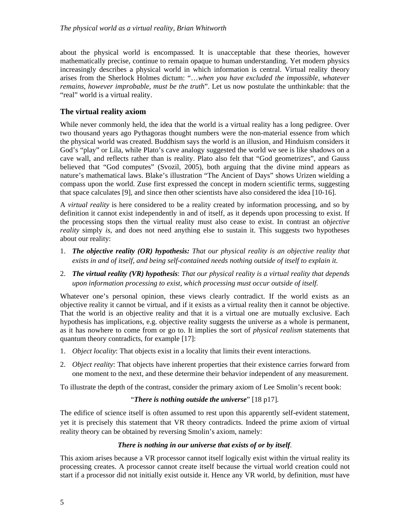about the physical world is encompassed. It is unacceptable that these theories, however mathematically precise, continue to remain opaque to human understanding. Yet modern physics increasingly describes a physical world in which information is central. Virtual reality theory arises from the Sherlock Holmes dictum: "…*when you have excluded the impossible, whatever remains, however improbable, must be the truth*". Let us now postulate the unthinkable: that the "real" world is a virtual reality.

# **The virtual reality axiom**

While never commonly held, the idea that the world is a virtual reality has a long pedigree. Over two thousand years ago Pythagoras thought numbers were the non-material essence from which the physical world was created. Buddhism says the world is an illusion, and Hinduism considers it God's "play" or Lila, while Plato's cave analogy suggested the world we see is like shadows on a cave wall, and reflects rather than is reality. Plato also felt that "God geometrizes", and Gauss believed that "God computes" (Svozil, 2005), both arguing that the divine mind appears as nature's mathematical laws. Blake's illustration "The Ancient of Days" shows Urizen wielding a compass upon the world. Zuse first expressed the concept in modern scientific terms, suggesting that space calculates [9], and since then other scientists have also considered the idea [10-16].

A *virtual reality* is here considered to be a reality created by information processing, and so by definition it cannot exist independently in and of itself, as it depends upon processing to exist. If the processing stops then the virtual reality must also cease to exist. In contrast an *objective reality* simply *is*, and does not need anything else to sustain it. This suggests two hypotheses about our reality:

- 1. *The objective reality (OR) hypothesis: That our physical reality is an objective reality that exists in and of itself, and being self-contained needs nothing outside of itself to explain it.*
- 2. *The virtual reality (VR) hypothesis*: *That our physical reality is a virtual reality that depends upon information processing to exist, which processing must occur outside of itself.*

Whatever one's personal opinion, these views clearly contradict. If the world exists as an objective reality it cannot be virtual, and if it exists as a virtual reality then it cannot be objective. That the world is an objective reality and that it is a virtual one are mutually exclusive. Each hypothesis has implications, e.g. objective reality suggests the universe as a whole is permanent, as it has nowhere to come from or go to. It implies the sort of *physical realism* statements that quantum theory contradicts*,* for example [17]:

- 1. *Object locality*: That objects exist in a locality that limits their event interactions.
- 2. *Object reality*: That objects have inherent properties that their existence carries forward from one moment to the next, and these determine their behavior independent of any measurement.

To illustrate the depth of the contrast, consider the primary axiom of Lee Smolin's recent book:

#### "*There is nothing outside the universe*" [18 p17].

The edifice of science itself is often assumed to rest upon this apparently self-evident statement, yet it is precisely this statement that VR theory contradicts. Indeed the prime axiom of virtual reality theory can be obtained by reversing Smolin's axiom, namely:

#### *There is nothing in our universe that exists of or by itself.*

This axiom arises because a VR processor cannot itself logically exist within the virtual reality its processing creates. A processor cannot create itself because the virtual world creation could not start if a processor did not initially exist outside it. Hence any VR world, by definition, *must* have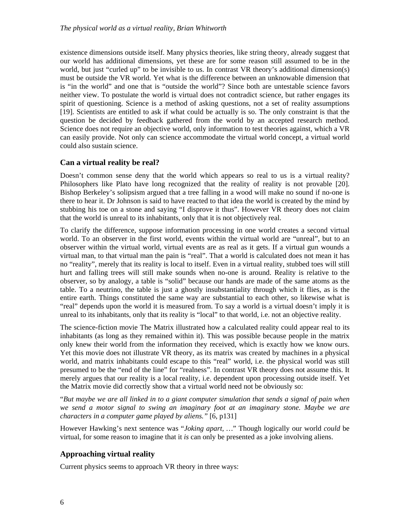existence dimensions outside itself. Many physics theories, like string theory, already suggest that our world has additional dimensions, yet these are for some reason still assumed to be in the world, but just "curled up" to be invisible to us. In contrast VR theory's additional dimension(s) must be outside the VR world. Yet what is the difference between an unknowable dimension that is "in the world" and one that is "outside the world"? Since both are untestable science favors neither view. To postulate the world is virtual does not contradict science, but rather engages its spirit of questioning. Science is a method of asking questions, not a set of reality assumptions [19]. Scientists are entitled to ask if what could be actually is so. The only constraint is that the question be decided by feedback gathered from the world by an accepted research method. Science does not require an objective world, only information to test theories against, which a VR can easily provide. Not only can science accommodate the virtual world concept, a virtual world could also sustain science.

# **Can a virtual reality be real?**

Doesn't common sense deny that the world which appears so real to us is a virtual reality? Philosophers like Plato have long recognized that the reality of reality is not provable [20]. Bishop Berkeley's solipsism argued that a tree falling in a wood will make no sound if no-one is there to hear it. Dr Johnson is said to have reacted to that idea the world is created by the mind by stubbing his toe on a stone and saying "I disprove it thus". However VR theory does not claim that the world is unreal to its inhabitants, only that it is not objectively real.

To clarify the difference, suppose information processing in one world creates a second virtual world. To an observer in the first world, events within the virtual world are "unreal", but to an observer within the virtual world, virtual events are as real as it gets. If a virtual gun wounds a virtual man, to that virtual man the pain is "real". That a world is calculated does not mean it has no "reality", merely that its reality is local to itself. Even in a virtual reality, stubbed toes will still hurt and falling trees will still make sounds when no-one is around. Reality is relative to the observer, so by analogy, a table is "solid" because our hands are made of the same atoms as the table. To a neutrino, the table is just a ghostly insubstantiality through which it flies, as is the entire earth. Things constituted the same way are substantial to each other, so likewise what is "real" depends upon the world it is measured from. To say a world is a virtual doesn't imply it is unreal to its inhabitants, only that its reality is "local" to that world, i.e. not an objective reality.

The science-fiction movie The Matrix illustrated how a calculated reality could appear real to its inhabitants (as long as they remained within it). This was possible because people in the matrix only knew their world from the information they received, which is exactly how we know ours. Yet this movie does not illustrate VR theory, as its matrix was created by machines in a physical world, and matrix inhabitants could escape to this "real" world, i.e. the physical world was still presumed to be the "end of the line" for "realness". In contrast VR theory does not assume this. It merely argues that our reality is a local reality, i.e. dependent upon processing outside itself. Yet the Matrix movie did correctly show that a virtual world need not be obviously so:

"*But maybe we are all linked in to a giant computer simulation that sends a signal of pain when we send a motor signal to swing an imaginary foot at an imaginary stone. Maybe we are characters in a computer game played by aliens."* [6, p131]

However Hawking's next sentence was "*Joking apart, …*" Though logically our world *could* be virtual, for some reason to imagine that it *is* can only be presented as a joke involving aliens.

# **Approaching virtual reality**

Current physics seems to approach VR theory in three ways: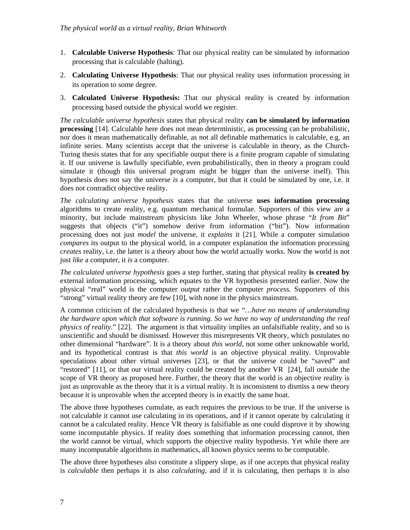- 1. **Calculable Universe Hypothesis**: That our physical reality can be simulated by information processing that is calculable (halting).
- 2. **Calculating Universe Hypothesis**: That our physical reality uses information processing in its operation to some degree.
- 3. **Calculated Universe Hypothesis:** That our physical reality is created by information processing based outside the physical world we register.

*The calculable universe hypothesis* states that physical reality **can be simulated by information processing** [14]. Calculable here does not mean deterministic, as processing can be probabilistic, nor does it mean mathematically definable, as not all definable mathematics is calculable, e.g. an infinite series. Many scientists accept that the universe is calculable in theory, as the Church-Turing thesis states that for any specifiable output there is a finite program capable of simulating it. If our universe is lawfully specifiable, even probabilistically, then in theory a program could simulate it (though this universal program might be bigger than the universe itself). This hypothesis does not say the universe *is* a computer, but that it could be simulated by one, i.e. it does not contradict objective reality.

*The calculating universe hypothesis* states that the universe **uses information processing** algorithms to create reality, e.g. quantum mechanical formulae. Supporters of this view are a minority, but include mainstream physicists like John Wheeler, whose phrase "*It from Bit*" suggests that objects ("it") somehow derive from information ("bit"). Now information processing does not just *model* the universe, it *explains* it [21]. While a computer simulation *compares* its output to the physical world, in a computer explanation the information processing *creates* reality, i.e. the latter is a theory about how the world actually works. Now the world is not just *like* a computer, it *is* a computer.

*The calculated universe hypothesis* goes a step further, stating that physical reality **is created by** external information processing, which equates to the VR hypothesis presented earlier. Now the physical "real" world is the computer *output* rather the computer *process.* Supporters of this "strong" virtual reality theory are few [10], with none in the physics mainstream.

A common criticism of the calculated hypothesis is that we *"…have no means of understanding the hardware upon which that software is running. So we have no way of understanding the real physics of reality.*" [22]. The argument is that virtuality implies an unfalsifiable reality, and so is unscientific and should be dismissed. However this misrepresents VR theory, which postulates no other dimensional "hardware". It is a theory about *this world,* not some other unknowable world, and its hypothetical contrast is that *this world* is an objective physical reality. Unprovable speculations about other virtual universes [23], or that the universe could be "saved" and "restored" [11], or that our virtual reality could be created by another VR [24], fall outside the scope of VR theory as proposed here. Further, the theory that the world is an objective reality is just as unprovable as the theory that it is a virtual reality. It is inconsistent to dismiss a new theory because it is unprovable when the accepted theory is in exactly the same boat.

The above three hypotheses cumulate, as each requires the previous to be true. If the universe is not calculable it cannot use calculating in its operations, and if it cannot operate by calculating it cannot be a calculated reality. Hence VR theory is falsifiable as one could disprove it by showing some incomputable physics. If reality does something that information processing cannot, then the world cannot be virtual, which supports the objective reality hypothesis. Yet while there are many incomputable algorithms in mathematics, all known physics seems to be computable.

The above three hypotheses also constitute a slippery slope, as if one accepts that physical reality is *calculable* then perhaps it is also *calculating*, and if it is calculating, then perhaps it is also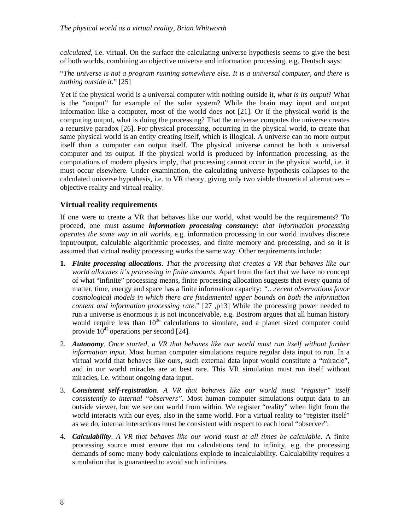*calculated*, i.e. virtual. On the surface the calculating universe hypothesis seems to give the best of both worlds, combining an objective universe and information processing, e.g. Deutsch says:

"*The universe is not a program running somewhere else. It is a universal computer, and there is nothing outside it.*" [25]

Yet if the physical world is a universal computer with nothing outside it, *what is its output*? What is the "output" for example of the solar system? While the brain may input and output information like a computer, most of the world does not [21]. Or if the physical world is the computing output, what is doing the processing? That the universe computes the universe creates a recursive paradox [26]. For physical processing, occurring in the physical world, to create that same physical world is an entity creating itself, which is illogical. A universe can no more output itself than a computer can output itself. The physical universe cannot be both a universal computer and its output. If the physical world is produced by information processing, as the computations of modern physics imply, that processing cannot occur in the physical world, i.e. it must occur elsewhere. Under examination, the calculating universe hypothesis collapses to the calculated universe hypothesis, i.e. to VR theory, giving only two viable theoretical alternatives – objective reality and virtual reality.

# **Virtual reality requirements**

If one were to create a VR that behaves like our world, what would be the requirements? To proceed, one must assume *information processing constancy: that information processing operates the same way in all worlds,* e.g. information processing in our world involves discrete input/output, calculable algorithmic processes, and finite memory and processing, and so it is assumed that virtual reality processing works the same way. Other requirements include:

- **1.** *Finite processing allocations*. *That the processing that creates a VR that behaves like our world allocates it's processing in finite amounts*. Apart from the fact that we have no concept of what "infinite" processing means, finite processing allocation suggests that every quanta of matter, time, energy and space has a finite information capacity: *"…recent observations favor cosmological models in which there are fundamental upper bounds on both the information content and information processing rate*." [27 ,p13] While the processing power needed to run a universe is enormous it is not inconceivable, e.g. Bostrom argues that all human history would require less than  $10^{36}$  calculations to simulate, and a planet sized computer could provide  $10^{42}$  operations per second [24].
- 2. *Autonomy. Once started, a VR that behaves like our world must run itself without further information input.* Most human computer simulations require regular data input to run. In a virtual world that behaves like ours, such external data input would constitute a "miracle", and in our world miracles are at best rare. This VR simulation must run itself without miracles, i.e. without ongoing data input.
- 3. *Consistent self-registration. A VR that behaves like our world must "register" itself consistently to internal "observers".* Most human computer simulations output data to an outside viewer, but we see our world from within. We register "reality" when light from the world interacts with our eyes, also in the same world. For a virtual reality to "register itself" as we do, internal interactions must be consistent with respect to each local "observer".
- 4. *Calculability*. *A VR that behaves like our world must at all times be calculable*. A finite processing source must ensure that no calculations tend to infinity, e.g. the processing demands of some many body calculations explode to incalculability. Calculability requires a simulation that is guaranteed to avoid such infinities.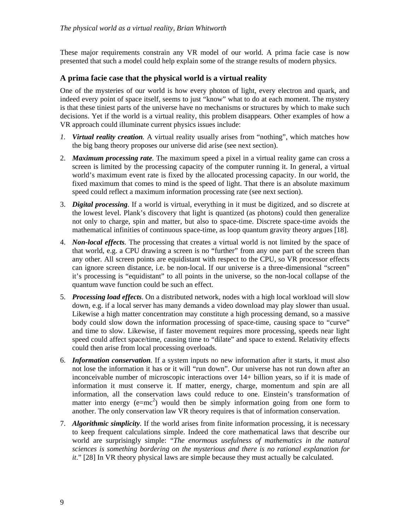These major requirements constrain any VR model of our world. A prima facie case is now presented that such a model could help explain some of the strange results of modern physics.

#### **A prima facie case that the physical world is a virtual reality**

One of the mysteries of our world is how every photon of light, every electron and quark, and indeed every point of space itself, seems to just "know" what to do at each moment. The mystery is that these tiniest parts of the universe have no mechanisms or structures by which to make such decisions. Yet if the world is a virtual reality, this problem disappears. Other examples of how a VR approach could illuminate current physics issues include:

- *1. Virtual reality creation.* A virtual reality usually arises from "nothing", which matches how the big bang theory proposes our universe did arise (see next section).
- 2. *Maximum processing rate.* The maximum speed a pixel in a virtual reality game can cross a screen is limited by the processing capacity of the computer running it. In general, a virtual world's maximum event rate is fixed by the allocated processing capacity. In our world, the fixed maximum that comes to mind is the speed of light. That there is an absolute maximum speed could reflect a maximum information processing rate (see next section).
- 3. *Digital processing.* If a world is virtual, everything in it must be digitized, and so discrete at the lowest level. Plank's discovery that light is quantized (as photons) could then generalize not only to charge, spin and matter, but also to space-time. Discrete space-time avoids the mathematical infinities of continuous space-time, as loop quantum gravity theory argues [18].
- 4. *Non-local effects.* The processing that creates a virtual world is not limited by the space of that world, e.g. a CPU drawing a screen is no "further" from any one part of the screen than any other. All screen points are equidistant with respect to the CPU, so VR processor effects can ignore screen distance, i.e. be non-local. If our universe is a three-dimensional "screen" it's processing is "equidistant" to all points in the universe, so the non-local collapse of the quantum wave function could be such an effect.
- 5. *Processing load effects*. On a distributed network, nodes with a high local workload will slow down, e.g. if a local server has many demands a video download may play slower than usual. Likewise a high matter concentration may constitute a high processing demand, so a massive body could slow down the information processing of space-time, causing space to "curve" and time to slow. Likewise, if faster movement requires more processing, speeds near light speed could affect space/time, causing time to "dilate" and space to extend. Relativity effects could then arise from local processing overloads.
- 6. *Information conservation.* If a system inputs no new information after it starts, it must also not lose the information it has or it will "run down". Our universe has not run down after an inconceivable number of microscopic interactions over 14+ billion years, so if it is made of information it must conserve it. If matter, energy, charge, momentum and spin are all information, all the conservation laws could reduce to one. Einstein's transformation of matter into energy  $(e=mc^2)$  would then be simply information going from one form to another. The only conservation law VR theory requires is that of information conservation.
- 7. *Algorithmic simplicity*. If the world arises from finite information processing, it is necessary to keep frequent calculations simple. Indeed the core mathematical laws that describe our world are surprisingly simple: "*The enormous usefulness of mathematics in the natural sciences is something bordering on the mysterious and there is no rational explanation for it*." [28] In VR theory physical laws are simple because they must actually be calculated.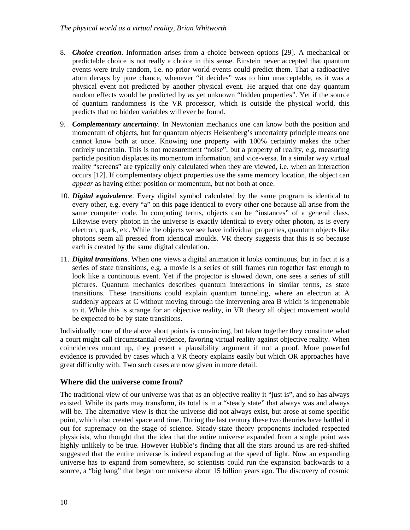- 8. *Choice creation*. Information arises from a choice between options [29]. A mechanical or predictable choice is not really a choice in this sense. Einstein never accepted that quantum events were truly random, i.e. no prior world events could predict them. That a radioactive atom decays by pure chance, whenever "it decides" was to him unacceptable, as it was a physical event not predicted by another physical event. He argued that one day quantum random effects would be predicted by as yet unknown "hidden properties". Yet if the source of quantum randomness is the VR processor, which is outside the physical world, this predicts that no hidden variables will ever be found.
- 9. *Complementary uncertainty*. In Newtonian mechanics one can know both the position and momentum of objects, but for quantum objects Heisenberg's uncertainty principle means one cannot know both at once. Knowing one property with 100% certainty makes the other entirely uncertain. This is not measurement "noise", but a property of reality, e.g. measuring particle position displaces its momentum information, and vice-versa. In a similar way virtual reality "screens" are typically only calculated when they are viewed, i.e. when an interaction occurs [12]. If complementary object properties use the same memory location, the object can *appear* as having either position *or* momentum, but not both at once.
- 10. *Digital equivalence*. Every digital symbol calculated by the same program is identical to every other, e.g. every "a" on this page identical to every other one because all arise from the same computer code. In computing terms, objects can be "instances" of a general class. Likewise every photon in the universe is exactly identical to every other photon, as is every electron, quark, etc. While the objects we see have individual properties, quantum objects like photons seem all pressed from identical moulds. VR theory suggests that this is so because each is created by the same digital calculation.
- 11. *Digital transitions*. When one views a digital animation it looks continuous, but in fact it is a series of state transitions, e.g. a movie is a series of still frames run together fast enough to look like a continuous event. Yet if the projector is slowed down, one sees a series of still pictures. Quantum mechanics describes quantum interactions in similar terms, as state transitions. These transitions could explain quantum tunneling, where an electron at A suddenly appears at C without moving through the intervening area B which is impenetrable to it. While this is strange for an objective reality, in VR theory all object movement would be expected to be by state transitions.

Individually none of the above short points is convincing, but taken together they constitute what a court might call circumstantial evidence, favoring virtual reality against objective reality. When coincidences mount up, they present a plausibility argument if not a proof. More powerful evidence is provided by cases which a VR theory explains easily but which OR approaches have great difficulty with. Two such cases are now given in more detail.

# **Where did the universe come from?**

The traditional view of our universe was that as an objective reality it "just is", and so has always existed. While its parts may transform, its total is in a "steady state" that always was and always will be. The alternative view is that the universe did not always exist, but arose at some specific point, which also created space and time. During the last century these two theories have battled it out for supremacy on the stage of science. Steady-state theory proponents included respected physicists, who thought that the idea that the entire universe expanded from a single point was highly unlikely to be true. However Hubble's finding that all the stars around us are red-shifted suggested that the entire universe is indeed expanding at the speed of light. Now an expanding universe has to expand from somewhere, so scientists could run the expansion backwards to a source, a "big bang" that began our universe about 15 billion years ago. The discovery of cosmic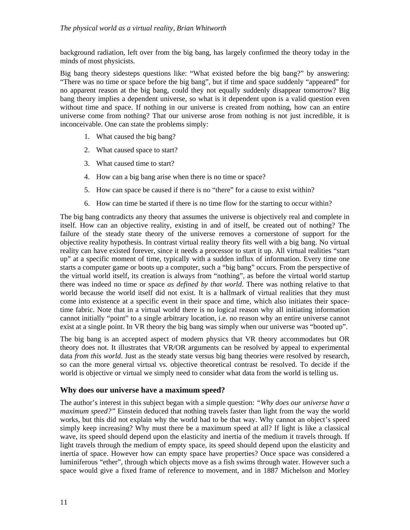background radiation, left over from the big bang, has largely confirmed the theory today in the minds of most physicists.

Big bang theory sidesteps questions like: "What existed before the big bang?" by answering: "There was no time or space before the big bang", but if time and space suddenly "appeared" for no apparent reason at the big bang, could they not equally suddenly disappear tomorrow? Big bang theory implies a dependent universe, so what is it dependent upon is a valid question even without time and space. If nothing in our universe is created from nothing, how can an entire universe come from nothing? That our universe arose from nothing is not just incredible, it is inconceivable. One can state the problems simply:

- 1. What caused the big bang?
- 2. What caused space to start?
- 3. What caused time to start?
- 4. How can a big bang arise when there is no time or space?
- 5. How can space be caused if there is no "there" for a cause to exist within?
- 6. How can time be started if there is no time flow for the starting to occur within?

The big bang contradicts any theory that assumes the universe is objectively real and complete in itself. How can an objective reality, existing in and of itself, be created out of nothing? The failure of the steady state theory of the universe removes a cornerstone of support for the objective reality hypothesis. In contrast virtual reality theory fits well with a big bang. No virtual reality can have existed forever, since it needs a processor to start it up. All virtual realities "start up" at a specific moment of time, typically with a sudden influx of information. Every time one starts a computer game or boots up a computer, such a "big bang" occurs. From the perspective of the virtual world itself, its creation is always from "nothing", as before the virtual world startup there was indeed no time or space *as defined by that world*. There was nothing relative to that world because the world itself did not exist. It is a hallmark of virtual realities that they must come into existence at a specific event in their space and time, which also initiates their spacetime fabric. Note that in a virtual world there is no logical reason why all initiating information cannot initially "point" to a single arbitrary location, i.e. no reason why an entire universe cannot exist at a single point. In VR theory the big bang was simply when our universe was "booted up".

The big bang is an accepted aspect of modern physics that VR theory accommodates but OR theory does not. It illustrates that VR/OR arguments can be resolved by appeal to experimental data *from this world*. Just as the steady state versus big bang theories were resolved by research, so can the more general virtual vs. objective theoretical contrast be resolved. To decide if the world is objective or virtual we simply need to consider what data from the world is telling us.

#### **Why does our universe have a maximum speed?**

The author's interest in this subject began with a simple question: *"Why does our universe have a maximum speed?"* Einstein deduced that nothing travels faster than light from the way the world works, but this did not explain why the world had to be that way. Why cannot an object's speed simply keep increasing? Why must there be a maximum speed at all? If light is like a classical wave, its speed should depend upon the elasticity and inertia of the medium it travels through. If light travels through the medium of empty space, its speed should depend upon the elasticity and inertia of space. However how can empty space have properties? Once space was considered a luminiferous "ether", through which objects move as a fish swims through water. However such a space would give a fixed frame of reference to movement, and in 1887 Michelson and Morley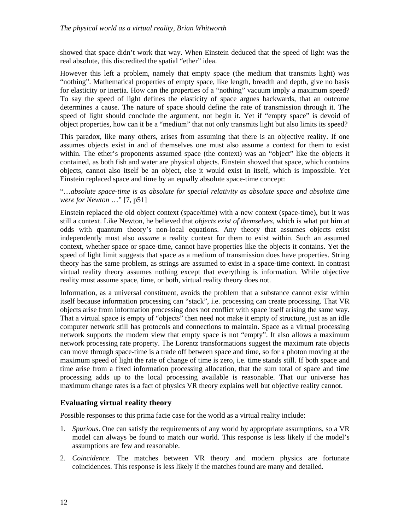showed that space didn't work that way. When Einstein deduced that the speed of light was the real absolute, this discredited the spatial "ether" idea.

However this left a problem, namely that empty space (the medium that transmits light) was "nothing". Mathematical properties of empty space, like length, breadth and depth, give no basis for elasticity or inertia. How can the properties of a "nothing" vacuum imply a maximum speed? To say the speed of light defines the elasticity of space argues backwards, that an outcome determines a cause. The nature of space should define the rate of transmission through it. The speed of light should conclude the argument, not begin it. Yet if "empty space" is devoid of object properties, how can it be a "medium" that not only transmits light but also limits its speed?

This paradox, like many others, arises from assuming that there is an objective reality. If one assumes objects exist in and of themselves one must also assume a context for them to exist within. The ether's proponents assumed space (the context) was an "object" like the objects it contained, as both fish and water are physical objects. Einstein showed that space, which contains objects, cannot also itself be an object, else it would exist in itself, which is impossible. Yet Einstein replaced space and time by an equally absolute space-time concept:

"…*absolute space-time is as absolute for special relativity as absolute space and absolute time were for Newton* …" [7, p51]

Einstein replaced the old object context (space/time) with a new context (space-time), but it was still a context. Like Newton, he believed that *objects exist of themselves,* which is what put him at odds with quantum theory's non-local equations. Any theory that assumes objects exist independently must also *assume* a reality context for them to exist within. Such an assumed context, whether space or space-time, cannot have properties like the objects it contains. Yet the speed of light limit suggests that space as a medium of transmission does have properties. String theory has the same problem, as strings are assumed to exist in a space-time context. In contrast virtual reality theory assumes nothing except that everything is information. While objective reality must assume space, time, or both, virtual reality theory does not.

Information, as a universal constituent, avoids the problem that a substance cannot exist within itself because information processing can "stack", i.e. processing can create processing. That VR objects arise from information processing does not conflict with space itself arising the same way. That a virtual space is empty of "objects" then need not make it empty of structure, just as an idle computer network still has protocols and connections to maintain. Space as a virtual processing network supports the modern view that empty space is not "empty". It also allows a maximum network processing rate property. The Lorentz transformations suggest the maximum rate objects can move through space-time is a trade off between space and time, so for a photon moving at the maximum speed of light the rate of change of time is zero, i.e. time stands still. If both space and time arise from a fixed information processing allocation, that the sum total of space and time processing adds up to the local processing available is reasonable. That our universe has maximum change rates is a fact of physics VR theory explains well but objective reality cannot.

# **Evaluating virtual reality theory**

Possible responses to this prima facie case for the world as a virtual reality include:

- 1. *Spurious*. One can satisfy the requirements of any world by appropriate assumptions, so a VR model can always be found to match our world. This response is less likely if the model's assumptions are few and reasonable.
- 2. *Coincidence*. The matches between VR theory and modern physics are fortunate coincidences. This response is less likely if the matches found are many and detailed.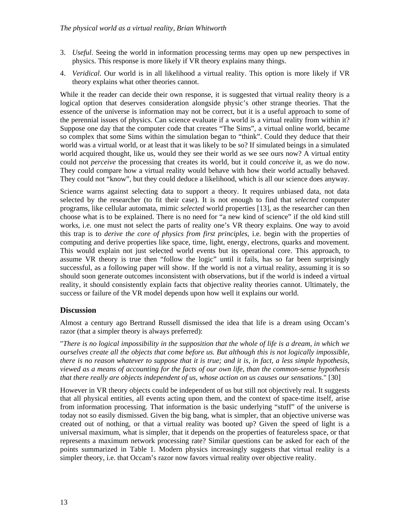- 3. *Useful*. Seeing the world in information processing terms may open up new perspectives in physics. This response is more likely if VR theory explains many things.
- 4. *Veridical*. Our world is in all likelihood a virtual reality. This option is more likely if VR theory explains what other theories cannot.

While it the reader can decide their own response, it is suggested that virtual reality theory is a logical option that deserves consideration alongside physic's other strange theories. That the essence of the universe is information may not be correct, but it is a useful approach to some of the perennial issues of physics. Can science evaluate if a world is a virtual reality from within it? Suppose one day that the computer code that creates "The Sims", a virtual online world, became so complex that some Sims within the simulation began to "think". Could they deduce that their world was a virtual world, or at least that it was likely to be so? If simulated beings in a simulated world acquired thought, like us, would they see their world as we see ours now? A virtual entity could not *perceive* the processing that creates its world, but it could *conceive* it, as we do now. They could compare how a virtual reality would behave with how their world actually behaved. They could not "know", but they could deduce a likelihood, which is all our science does anyway.

Science warns against selecting data to support a theory. It requires unbiased data, not data selected by the researcher (to fit their case). It is not enough to find that *selected* computer programs, like cellular automata, mimic *selected* world properties [13], as the researcher can then choose what is to be explained. There is no need for "a new kind of science" if the old kind still works, i.e. one must not select the parts of reality one's VR theory explains. One way to avoid this trap is to *derive the core of physics from first principles*, i.e. begin with the properties of computing and derive properties like space, time, light, energy, electrons, quarks and movement. This would explain not just selected world events but its operational core. This approach, to assume VR theory is true then "follow the logic" until it fails, has so far been surprisingly successful, as a following paper will show. If the world is not a virtual reality, assuming it is so should soon generate outcomes inconsistent with observations, but if the world is indeed a virtual reality, it should consistently explain facts that objective reality theories cannot. Ultimately, the success or failure of the VR model depends upon how well it explains our world.

# **Discussion**

Almost a century ago Bertrand Russell dismissed the idea that life is a dream using Occam's razor (that a simpler theory is always preferred):

"*There is no logical impossibility in the supposition that the whole of life is a dream, in which we ourselves create all the objects that come before us. But although this is not logically impossible, there is no reason whatever to suppose that it is true; and it is, in fact, a less simple hypothesis, viewed as a means of accounting for the facts of our own life, than the common-sense hypothesis that there really are objects independent of us, whose action on us causes our sensations*." [30]

However in VR theory objects could be independent of us but still not objectively real. It suggests that all physical entities, all events acting upon them, and the context of space-time itself, arise from information processing. That information is the basic underlying "stuff" of the universe is today not so easily dismissed. Given the big bang, what is simpler, that an objective universe was created out of nothing, or that a virtual reality was booted up? Given the speed of light is a universal maximum, what is simpler, that it depends on the properties of featureless space, or that represents a maximum network processing rate? Similar questions can be asked for each of the points summarized in Table 1. Modern physics increasingly suggests that virtual reality is a simpler theory, i.e. that Occam's razor now favors virtual reality over objective reality.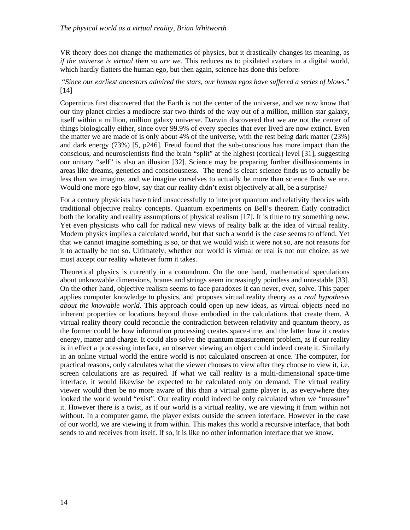VR theory does not change the mathematics of physics, but it drastically changes its meaning, as *if the universe is virtual then so are we.* This reduces us to pixilated avatars in a digital world, which hardly flatters the human ego, but then again, science has done this before:

 "*Since our earliest ancestors admired the stars, our human egos have suffered a series of blows*." [14]

Copernicus first discovered that the Earth is not the center of the universe, and we now know that our tiny planet circles a mediocre star two-thirds of the way out of a million, million star galaxy, itself within a million, million galaxy universe. Darwin discovered that we are not the center of things biologically either, since over 99.9% of every species that ever lived are now extinct. Even the matter we are made of is only about 4% of the universe, with the rest being dark matter (23%) and dark energy (73%) [5, p246]. Freud found that the sub-conscious has more impact than the conscious, and neuroscientists find the brain "split" at the highest (cortical) level [31], suggesting our unitary "self" is also an illusion [32]. Science may be preparing further disillusionments in areas like dreams, genetics and consciousness. The trend is clear: science finds us to actually be less than we imagine, and we imagine ourselves to actually be more than science finds we are. Would one more ego blow, say that our reality didn't exist objectively at all, be a surprise?

For a century physicists have tried unsuccessfully to interpret quantum and relativity theories with traditional objective reality concepts. Quantum experiments on Bell's theorem flatly contradict both the locality and reality assumptions of physical realism [17]. It is time to try something new. Yet even physicists who call for radical new views of reality balk at the idea of virtual reality. Modern physics implies a calculated world, but that such a world is the case seems to offend. Yet that we cannot imagine something is so, or that we would wish it were not so, are not reasons for it to actually be not so. Ultimately, whether our world is virtual or real is not our choice, as we must accept our reality whatever form it takes.

Theoretical physics is currently in a conundrum. On the one hand, mathematical speculations about unknowable dimensions, branes and strings seem increasingly pointless and untestable [33]. On the other hand, objective realism seems to face paradoxes it can never, ever, solve. This paper applies computer knowledge to physics, and proposes virtual reality theory as *a real hypothesis about the knowable world*. This approach could open up new ideas, as virtual objects need no inherent properties or locations beyond those embodied in the calculations that create them. A virtual reality theory could reconcile the contradiction between relativity and quantum theory, as the former could be how information processing creates space-time, and the latter how it creates energy, matter and charge. It could also solve the quantum measurement problem, as if our reality is in effect a processing interface, an observer viewing an object could indeed create it. Similarly in an online virtual world the entire world is not calculated onscreen at once. The computer, for practical reasons, only calculates what the viewer chooses to view after they choose to view it, i.e. screen calculations are as required. If what we call reality is a multi-dimensional space-time interface, it would likewise be expected to be calculated only on demand. The virtual reality viewer would then be no more aware of this than a virtual game player is, as everywhere they looked the world would "exist". Our reality could indeed be only calculated when we "measure" it. However there is a twist, as if our world is a virtual reality, we are viewing it from within not without. In a computer game, the player exists outside the screen interface. However in the case of our world, we are viewing it from within. This makes this world a recursive interface, that both sends to and receives from itself. If so, it is like no other information interface that we know.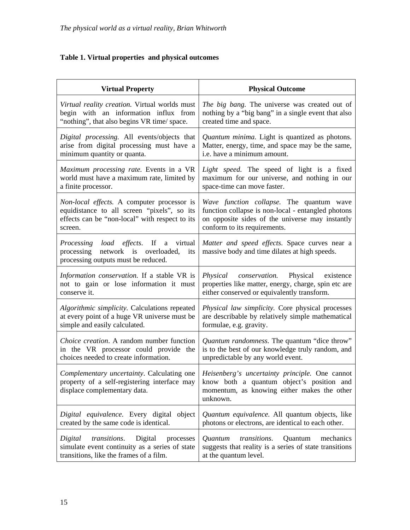# **Table 1. Virtual properties and physical outcomes**

| <b>Virtual Property</b>                                                                                                           | <b>Physical Outcome</b>                                                                                                                                       |
|-----------------------------------------------------------------------------------------------------------------------------------|---------------------------------------------------------------------------------------------------------------------------------------------------------------|
| Virtual reality creation. Virtual worlds must                                                                                     | The big bang. The universe was created out of                                                                                                                 |
| begin with an information influx from                                                                                             | nothing by a "big bang" in a single event that also                                                                                                           |
| "nothing", that also begins VR time/ space.                                                                                       | created time and space.                                                                                                                                       |
| Digital processing. All events/objects that                                                                                       | Quantum minima. Light is quantized as photons.                                                                                                                |
| arise from digital processing must have a                                                                                         | Matter, energy, time, and space may be the same,                                                                                                              |
| minimum quantity or quanta.                                                                                                       | i.e. have a minimum amount.                                                                                                                                   |
| Maximum processing rate. Events in a VR                                                                                           | Light speed. The speed of light is a fixed                                                                                                                    |
| world must have a maximum rate, limited by                                                                                        | maximum for our universe, and nothing in our                                                                                                                  |
| a finite processor.                                                                                                               | space-time can move faster.                                                                                                                                   |
| Non-local effects. A computer processor is                                                                                        | Wave function collapse. The quantum wave                                                                                                                      |
| equidistance to all screen "pixels", so its                                                                                       | function collapse is non-local - entangled photons                                                                                                            |
| effects can be "non-local" with respect to its                                                                                    | on opposite sides of the universe may instantly                                                                                                               |
| screen.                                                                                                                           | conform to its requirements.                                                                                                                                  |
| Processing load effects. If<br>virtual<br>a<br>processing<br>network is overloaded,<br>its<br>processing outputs must be reduced. | Matter and speed effects. Space curves near a<br>massive body and time dilates at high speeds.                                                                |
| Information conservation. If a stable VR is<br>not to gain or lose information it must<br>conserve it.                            | Physical<br>Physical existence<br><i>conservation.</i><br>properties like matter, energy, charge, spin etc are<br>either conserved or equivalently transform. |
| Algorithmic simplicity. Calculations repeated                                                                                     | Physical law simplicity. Core physical processes                                                                                                              |
| at every point of a huge VR universe must be                                                                                      | are describable by relatively simple mathematical                                                                                                             |
| simple and easily calculated.                                                                                                     | formulae, e.g. gravity.                                                                                                                                       |
| <i>Choice creation.</i> A random number function                                                                                  | Quantum randomness. The quantum "dice throw"                                                                                                                  |
| in the VR processor could provide the                                                                                             | is to the best of our knowledge truly random, and                                                                                                             |
| choices needed to create information.                                                                                             | unpredictable by any world event.                                                                                                                             |
| Complementary uncertainty. Calculating one<br>property of a self-registering interface may<br>displace complementary data.        | Heisenberg's uncertainty principle. One cannot<br>know both a quantum object's position and<br>momentum, as knowing either makes the other<br>unknown.        |
| Digital equivalence. Every digital object                                                                                         | Quantum equivalence. All quantum objects, like                                                                                                                |
| created by the same code is identical.                                                                                            | photons or electrons, are identical to each other.                                                                                                            |
| transitions.                                                                                                                      | transitions.                                                                                                                                                  |
| Digital                                                                                                                           | Quantum                                                                                                                                                       |
| Digital                                                                                                                           | Quantum                                                                                                                                                       |
| processes                                                                                                                         | mechanics                                                                                                                                                     |
| simulate event continuity as a series of state                                                                                    | suggests that reality is a series of state transitions                                                                                                        |
| transitions, like the frames of a film.                                                                                           | at the quantum level.                                                                                                                                         |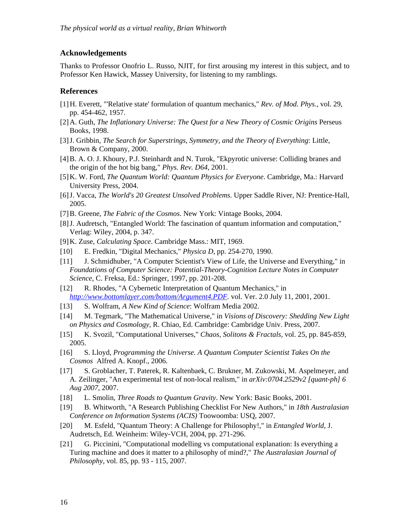#### **Acknowledgements**

Thanks to Professor Onofrio L. Russo, NJIT, for first arousing my interest in this subject, and to Professor Ken Hawick, Massey University, for listening to my ramblings.

#### **References**

- [1] H. Everett, "'Relative state' formulation of quantum mechanics," *Rev. of Mod. Phys.,* vol. 29, pp. 454-462, 1957.
- [2] A. Guth, *The Inflationary Universe: The Quest for a New Theory of Cosmic Origins Perseus* Books, 1998.
- [3] J. Gribbin, *The Search for Superstrings, Symmetry, and the Theory of Everything*: Little, Brown & Company, 2000.
- [4] B. A. O. J. Khoury, P.J. Steinhardt and N. Turok, "Ekpyrotic universe: Colliding branes and the origin of the hot big bang," *Phys. Rev. D64,* 2001.
- [5] K. W. Ford, *The Quantum World: Quantum Physics for Everyone*. Cambridge, Ma.: Harvard University Press, 2004.
- [6] J. Vacca, *The World's 20 Greatest Unsolved Problems*. Upper Saddle River, NJ: Prentice-Hall, 2005.
- [7] B. Greene, *The Fabric of the Cosmos*. New York: Vintage Books, 2004.
- [8] J. Audretsch, "Entangled World: The fascination of quantum information and computation," Verlag: Wiley, 2004, p. 347.
- [9] K. Zuse, *Calculating Space*. Cambridge Mass.: MIT, 1969.
- [10] E. Fredkin, "Digital Mechanics," *Physica D,* pp. 254-270, 1990.
- [11] J. Schmidhuber, "A Computer Scientist's View of Life, the Universe and Everything," in *Foundations of Computer Science: Potential-Theory-Cognition Lecture Notes in Computer Science*, C. Freksa, Ed.: Springer, 1997, pp. 201-208.
- [12] R. Rhodes, "A Cybernetic Interpretation of Quantum Mechanics," in *http://www.bottomlayer.com/bottom/Argument4.PDF*. vol. Ver. 2.0 July 11, 2001, 2001.
- [13] S. Wolfram, *A New Kind of Science*: Wolfram Media 2002.
- [14] M. Tegmark, "The Mathematical Universe," in *Visions of Discovery: Shedding New Light on Physics and Cosmology*, R. Chiao, Ed. Cambridge: Cambridge Univ. Press, 2007.
- [15] K. Svozil, "Computational Universes," *Chaos, Solitons & Fractals,* vol. 25, pp. 845-859, 2005.
- [16] S. Lloyd, *Programming the Universe. A Quantum Computer Scientist Takes On the Cosmos* Alfred A. Knopf., 2006.
- [17] S. Groblacher, T. Paterek, R. Kaltenbaek, C. Brukner, M. Zukowski, M. Aspelmeyer, and A. Zeilinger, "An experimental test of non-local realism," in *arXiv:0704.2529v2 [quant-ph] 6 Aug 2007*, 2007.
- [18] L. Smolin, *Three Roads to Quantum Gravity*. New York: Basic Books, 2001.
- [19] B. Whitworth, "A Research Publishing Checklist For New Authors," in *18th Australasian Conference on Information Systems (ACIS)* Toowoomba: USQ, 2007.
- [20] M. Esfeld, "Quantum Theory: A Challenge for Philosophy!," in *Entangled World*, J. Audretsch, Ed. Weinheim: Wiley-VCH, 2004, pp. 271-296.
- [21] G. Piccinini, "Computational modelling vs computational explanation: Is everything a Turing machine and does it matter to a philosophy of mind?," *The Australasian Journal of Philosophy,* vol. 85, pp. 93 - 115, 2007.